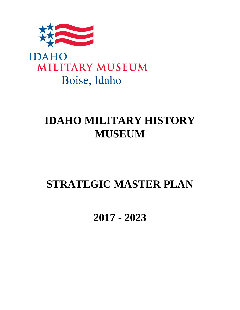



# **IDAHO MILITARY HISTORY MUSEUM**

# **STRATEGIC MASTER PLAN**

**2017 - 2023**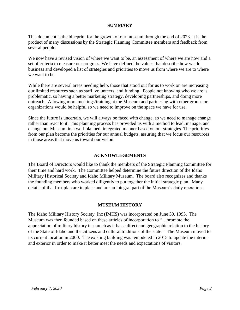#### **SUMMARY**

This document is the blueprint for the growth of our museum through the end of 2023. It is the product of many discussions by the Strategic Planning Committee members and feedback from several people.

We now have a revised vision of where we want to be, an assessment of where we are now and a set of criteria to measure our progress. We have defined the values that describe how we do business and developed a list of strategies and priorities to move us from where we are to where we want to be.

While there are several areas needing help, those that stood out for us to work on are increasing our limited resources such as staff, volunteers, and funding. People not knowing who we are is problematic, so having a better marketing strategy, developing partnerships, and doing more outreach. Allowing more meetings/training at the Museum and partnering with other groups or organizations would be helpful so we need to improve on the space we have for use.

Since the future is uncertain, we will always be faced with change, so we need to manage change rather than react to it. This planning process has provided us with a method to lead, manage, and change our Museum in a well-planned, integrated manner based on our strategies. The priorities from our plan become the priorities for our annual budgets, assuring that we focus our resources in those areas that move us toward our vision.

#### **ACKNOWLEGEMENTS**

The Board of Directors would like to thank the members of the Strategic Planning Committee for their time and hard work. The Committee helped determine the future direction of the Idaho Military Historical Society and Idaho Military Museum. The board also recognizes and thanks the founding members who worked diligently to put together the initial strategic plan. Many details of that first plan are in place and are an integral part of the Museum's daily operations.

#### **MUSEUM HISTORY**

The Idaho Military History Society, Inc (IMHS) was incorporated on June 30, 1993. The Museum was then founded based on these articles of incorporation to "…promote the appreciation of military history inasmuch as it has a direct and geographic relation to the history of the State of Idaho and the citizens and cultural traditions of the state." The Museum moved to its current location in 2000. The existing building was remodeled in 2015 to update the interior and exterior in order to make it better meet the needs and expectations of visitors.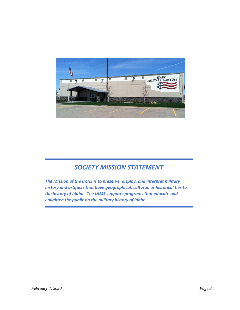

# *SOCIETY MISSION STATEMENT*

*The Mission of the IMHS is to preserve, display, and interpret military history and artifacts that have geographical, cultural, or historical ties to the history of Idaho. The IHMS supports programs that educate and enlighten the public on the military history of Idaho.*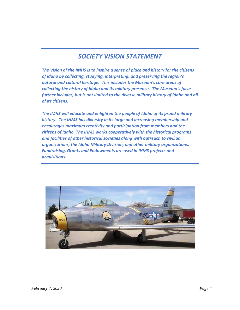# *SOCIETY VISION STATEMENT*

*The Vision of the IMHS is to inspire a sense of place and history for the citizens of Idaho by collecting, studying, interpreting, and preserving the region's natural and cultural heritage. This includes the Museum's core areas of collecting the history of Idaho and its military presence. The Museum's focus further includes, but is not limited to the diverse military history of Idaho and all of its citizens.*

*The IMHS will educate and enlighten the people of Idaho of its proud military history. The IHMS has diversity in its large and increasing membership and encourages maximum creativity and participation from members and the citizens of Idaho. The IHMS works cooperatively with the historical programs and facilities of other historical societies along with outreach to civilian organizations, the Idaho Military Division, and other military organizations. Fundraising, Grants and Endowments are used in IHMS projects and acquisitions.* 

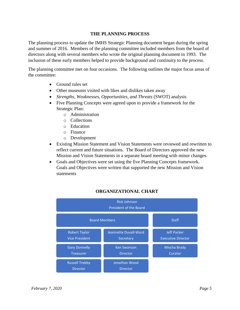#### **THE PLANNING PROCESS**

The planning process to update the IMHS Strategic Planning document began during the spring and summer of 2016. Members of the planning committee included members from the board of directors along with several members who wrote the original planning document in 1993. The inclusion of these early members helped to provide background and continuity to the process.

The planning committee met on four occasions. The following outlines the major focus areas of the committee:

- Ground rules set
- Other museums visited with likes and dislikes taken away
- *Strengths, Weaknesses, Opportunities, and Threats (SWOT) analysis*
- Five Planning Concepts were agreed upon to provide a framework for the Strategic Plan:
	- o Administration
	- o Collections
	- o Education
	- o Finance
	- o Development
- Existing Mission Statement and Vision Statements were reviewed and rewritten to reflect current and future situations. The Board of Directors approved the new Mission and Vision Statements in a separate board meeting with minor changes.
- Goals and Objectives were set using the five Planning Concepts framework. Goals and Objectives were written that supported the new Mission and Vision statements



# **ORGANIZATIONAL CHART**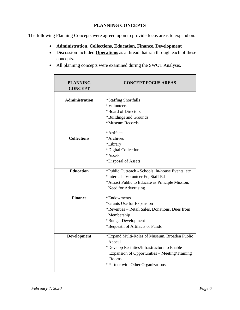## **PLANNING CONCEPTS**

The following Planning Concepts were agreed upon to provide focus areas to expand on.

- **Administration, Collections, Education, Finance, Development**
- Discussion included **Operations** as a thread that ran through each of these concepts.
- All planning concepts were examined during the SWOT Analysis.

| <b>PLANNING</b><br><b>CONCEPT</b> | <b>CONCEPT FOCUS AREAS</b>                                                                                                                                                                             |
|-----------------------------------|--------------------------------------------------------------------------------------------------------------------------------------------------------------------------------------------------------|
| <b>Administration</b>             | *Staffing Shortfalls<br>*Volunteers<br>*Board of Directors<br>*Buildings and Grounds<br>*Museum Records                                                                                                |
| <b>Collections</b>                | *Artifacts<br>*Archives<br>*Library<br>*Digital Collection<br>*Assets<br>*Disposal of Assets                                                                                                           |
| <b>Education</b>                  | *Public Outreach - Schools, In-house Events, etc<br>*Internal - Volunteer Ed, Staff Ed<br>*Attract Public to Educate as Principle Mission,<br>Need for Advertising                                     |
| <b>Finance</b>                    | *Endowments<br>*Grants Use for Expansion<br>*Revenues – Retail Sales, Donations, Dues from<br>Membership<br>*Budget Development<br>*Bequeath of Artifacts or Funds                                     |
| <b>Development</b>                | *Expand Multi-Roles of Museum, Broaden Public<br>Appeal<br>*Develop Facilities/Infrastructure to Enable<br>Expansion of Opportunities - Meeting/Training<br>Rooms<br>*Partner with Other Organizations |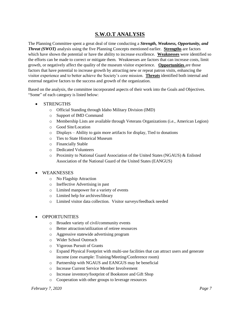# **S.W.O.T ANALYSIS**

The Planning Committee spent a great deal of time conducting a *Strength, Weakness, Opportunity, and Threat (SWOT)* analysis using the five Planning Concepts mentioned earlier. **Strengths** are factors which have shown the potential or have the ability to increase excellence. **Weaknesses** were identified so the efforts can be made to correct or mitigate them. Weaknesses are factors that can increase costs, limit growth, or negatively affect the quality of the museum visitor experience. **Opportunities** are those factors that have potential to increase growth by attracting new or repeat patron visits, enhancing the visitor experience and to better achieve the Society's core mission. **Threats** identified both internal and external negative factors to the success and growth of the organization.

Based on the analysis, the committee incorporated aspects of their work into the Goals and Objectives. "Some" of each category is listed below:

- STRENGTHS
	- o Official Standing through Idaho Military Division (IMD)
	- o Support of IMD Command
	- o Membership Lists are available through Veterans Organizations (i.e., American Legion)
	- o Good Site/Location
	- o Displays Ability to gain more artifacts for display, Tied to donations
	- o Ties to State Historical Museum
	- o Financially Stable
	- o Dedicated Volunteers
	- o Proximity to National Guard Association of the United States (NGAUS) & Enlisted Association of the National Guard of the United States (EANGUS)
- WEAKNESSES
	- o No Flagship Attraction
	- o Ineffective Advertising in past
	- o Limited manpower for a variety of events
	- o Limited help for archives/library
	- o Limited visitor data collection. Visitor surveys/feedback needed
- OPPORTUNITIES
	- o Broaden variety of civil/community events
	- o Better attraction/utilization of retiree resources
	- o Aggressive statewide advertising program
	- o Wider School Outreach
	- o Vigorous Pursuit of Grants
	- o Expand Physical Footprint with multi-use facilities that can attract users and generate income (one example: Training/Meeting/Conference room)
	- o Partnership with NGAUS and EANGUS may be beneficial
	- o Increase Current Service Member Involvement
	- o Increase inventory/footprint of Bookstore and Gift Shop
	- o Cooperation with other groups to leverage resources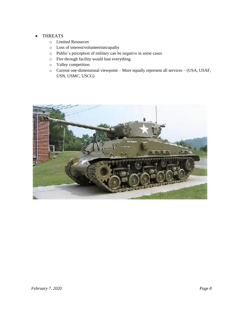#### • THREATS

- o Limited Resources
- o Loss of interest/volunteerism/apathy
- o Public's perception of military can be negative in some cases
- o Fire through facility would lose everything
- o Valley competition
- o Current one-dimensional viewpoint More equally represent all services (USA, USAF, USN, USMC, USCG)

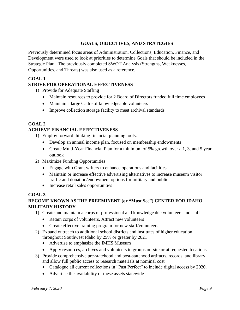# **GOALS, OBJECTIVES, AND STRATEGIES**

Previously determined focus areas of Administration, Collections, Education, Finance, and Development were used to look at priorities to determine Goals that should be included in the Strategic Plan. The previously completed SWOT Analysis (Strengths, Weaknesses, Opportunities, and Threats) was also used as a reference.

## **GOAL 1**

# **STRIVE FOR OPERATIONAL EFFECTIVENESS**

- 1) Provide for Adequate Staffing
	- Maintain resources to provide for 2 Board of Directors funded full time employees
	- Maintain a large Cadre of knowledgeable volunteers
	- Improve collection storage facility to meet archival standards

## **GOAL 2**

## **ACHIEVE FINANCIAL EFFECTIVENESS**

- 1) Employ forward thinking financial planning tools.
	- Develop an annual income plan, focused on membership endowments
	- Create Multi-Year Financial Plan for a minimum of 5% growth over a 1, 3, and 5 year outlook
- 2) Maximize Funding Opportunities
	- Engage with Grant writers to enhance operations and facilities
	- Maintain or increase effective advertising alternatives to increase museum visitor traffic and donation/endowment options for military and public
	- Increase retail sales opportunities

## **GOAL 3**

# **BECOME KNOWN AS THE PREEMINENT (or "Must See") CENTER FOR IDAHO MILITARY HISTORY**

- 1) Create and maintain a corps of professional and knowledgeable volunteers and staff
	- Retain corps of volunteers, Attract new volunteers
	- Create effective training program for new staff/volunteers
- 2) Expand outreach to additional school districts and institutes of higher education throughout Southwest Idaho by 25% or greater by 2021
	- Advertise to emphasize the IMHS Museum
	- Apply resources, archives and volunteers to groups on-site or at requested locations
- 3) Provide comprehensive pre-statehood and post-statehood artifacts, records, and library and allow full public access to research materials at nominal cost
	- Catalogue all current collections in "Past Perfect" to include digital access by 2020.
	- Advertise the availability of these assets statewide